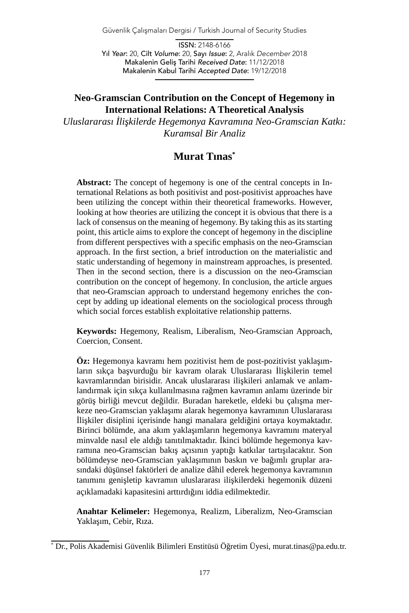Güvenlik Çalışmaları Dergisi / Turkish Journal of Security Studies

ISSN: 2148-6166 Yıl *Year*: 20, Cilt *Volume*: 20, Sayı *Issue*: 2, Aralık *December* 2018 Makalenin Geliş Tarihi *Received Date*: 11/12/2018 Makalenin Kabul Tarihi *Accepted Date*: 19/12/2018

### **Neo-Gramscian Contribution on the Concept of Hegemony in International Relations: A Theoretical Analysis**

*Uluslararası İlişkilerde Hegemonya Kavramına Neo-Gramscian Katkı: Kuramsal Bir Analiz*

# **Murat Tınas\***

**Abstract:** The concept of hegemony is one of the central concepts in International Relations as both positivist and post-positivist approaches have been utilizing the concept within their theoretical frameworks. However, looking at how theories are utilizing the concept it is obvious that there is a lack of consensus on the meaning of hegemony. By taking this as its starting point, this article aims to explore the concept of hegemony in the discipline from different perspectives with a specific emphasis on the neo-Gramscian approach. In the first section, a brief introduction on the materialistic and static understanding of hegemony in mainstream approaches, is presented. Then in the second section, there is a discussion on the neo-Gramscian contribution on the concept of hegemony. In conclusion, the article argues that neo-Gramscian approach to understand hegemony enriches the concept by adding up ideational elements on the sociological process through which social forces establish exploitative relationship patterns.

**Keywords:** Hegemony, Realism, Liberalism, Neo-Gramscian Approach, Coercion, Consent.

**Öz:** Hegemonya kavramı hem pozitivist hem de post-pozitivist yaklaşımların sıkça başvurduğu bir kavram olarak Uluslararası İlişkilerin temel kavramlarından birisidir. Ancak uluslararası ilişkileri anlamak ve anlamlandırmak için sıkça kullanılmasına rağmen kavramın anlamı üzerinde bir görüş birliği mevcut değildir. Buradan hareketle, eldeki bu çalışma merkeze neo-Gramscian yaklaşımı alarak hegemonya kavramının Uluslararası İlişkiler disiplini içerisinde hangi manalara geldiğini ortaya koymaktadır. Birinci bölümde, ana akım yaklaşımların hegemonya kavramını materyal minvalde nasıl ele aldığı tanıtılmaktadır. İkinci bölümde hegemonya kavramına neo-Gramscian bakış açısının yaptığı katkılar tartışılacaktır. Son bölümdeyse neo-Gramscian yaklaşımının baskın ve bağımlı gruplar arasındaki düşünsel faktörleri de analize dâhil ederek hegemonya kavramının tanımını genişletip kavramın uluslararası ilişkilerdeki hegemonik düzeni açıklamadaki kapasitesini arttırdığını iddia edilmektedir.

**Anahtar Kelimeler:** Hegemonya, Realizm, Liberalizm, Neo-Gramscian Yaklaşım, Cebir, Rıza.

<sup>\*</sup> Dr., Polis Akademisi Güvenlik Bilimleri Enstitüsü Öğretim Üyesi, murat.tinas@pa.edu.tr.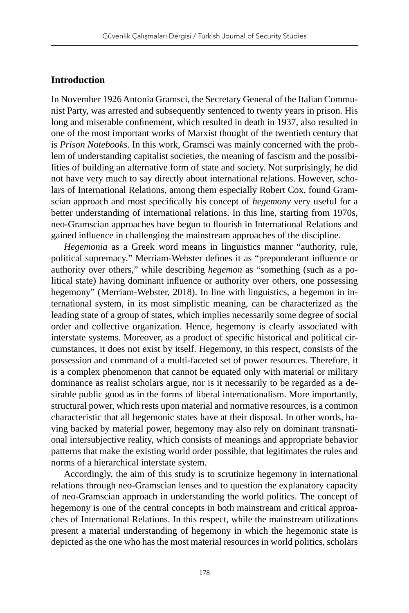#### **Introduction**

In November 1926 Antonia Gramsci, the Secretary General of the Italian Communist Party, was arrested and subsequently sentenced to twenty years in prison. His long and miserable confinement, which resulted in death in 1937, also resulted in one of the most important works of Marxist thought of the twentieth century that is *Prison Notebooks*. In this work, Gramsci was mainly concerned with the problem of understanding capitalist societies, the meaning of fascism and the possibilities of building an alternative form of state and society. Not surprisingly, he did not have very much to say directly about international relations. However, scholars of International Relations, among them especially Robert Cox, found Gramscian approach and most specifically his concept of *hegemony* very useful for a better understanding of international relations. In this line, starting from 1970s, neo-Gramscian approaches have begun to flourish in International Relations and gained influence in challenging the mainstream approaches of the discipline.

*Hegemonia* as a Greek word means in linguistics manner "authority, rule, political supremacy." Merriam-Webster defines it as "preponderant influence or authority over others," while describing *hegemon* as "something (such as a political state) having dominant influence or authority over others, one possessing hegemony" (Merriam-Webster, 2018). In line with linguistics, a hegemon in international system, in its most simplistic meaning, can be characterized as the leading state of a group of states, which implies necessarily some degree of social order and collective organization. Hence, hegemony is clearly associated with interstate systems. Moreover, as a product of specific historical and political circumstances, it does not exist by itself. Hegemony, in this respect, consists of the possession and command of a multi-faceted set of power resources. Therefore, it is a complex phenomenon that cannot be equated only with material or military dominance as realist scholars argue, nor is it necessarily to be regarded as a desirable public good as in the forms of liberal internationalism. More importantly, structural power, which rests upon material and normative resources, is a common characteristic that all hegemonic states have at their disposal. In other words, having backed by material power, hegemony may also rely on dominant transnational intersubjective reality, which consists of meanings and appropriate behavior patterns that make the existing world order possible, that legitimates the rules and norms of a hierarchical interstate system.

Accordingly, the aim of this study is to scrutinize hegemony in international relations through neo-Gramscian lenses and to question the explanatory capacity of neo-Gramscian approach in understanding the world politics. The concept of hegemony is one of the central concepts in both mainstream and critical approaches of International Relations. In this respect, while the mainstream utilizations present a material understanding of hegemony in which the hegemonic state is depicted as the one who has the most material resources in world politics, scholars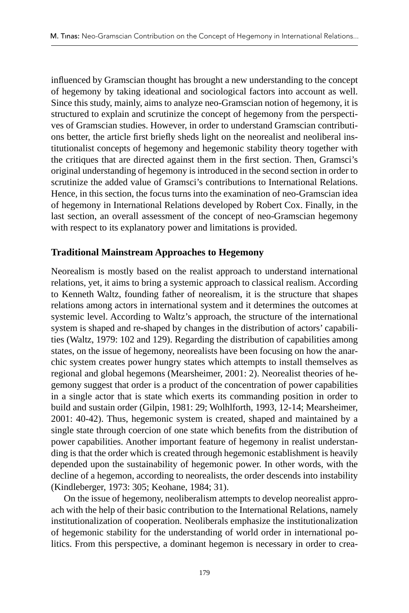influenced by Gramscian thought has brought a new understanding to the concept of hegemony by taking ideational and sociological factors into account as well. Since this study, mainly, aims to analyze neo-Gramscian notion of hegemony, it is structured to explain and scrutinize the concept of hegemony from the perspectives of Gramscian studies. However, in order to understand Gramscian contributions better, the article first briefly sheds light on the neorealist and neoliberal institutionalist concepts of hegemony and hegemonic stability theory together with the critiques that are directed against them in the first section. Then, Gramsci's original understanding of hegemony is introduced in the second section in order to scrutinize the added value of Gramsci's contributions to International Relations. Hence, in this section, the focus turns into the examination of neo-Gramscian idea of hegemony in International Relations developed by Robert Cox. Finally, in the last section, an overall assessment of the concept of neo-Gramscian hegemony with respect to its explanatory power and limitations is provided.

### **Traditional Mainstream Approaches to Hegemony**

Neorealism is mostly based on the realist approach to understand international relations, yet, it aims to bring a systemic approach to classical realism. According to Kenneth Waltz, founding father of neorealism, it is the structure that shapes relations among actors in international system and it determines the outcomes at systemic level. According to Waltz's approach, the structure of the international system is shaped and re-shaped by changes in the distribution of actors' capabilities (Waltz, 1979: 102 and 129). Regarding the distribution of capabilities among states, on the issue of hegemony, neorealists have been focusing on how the anarchic system creates power hungry states which attempts to install themselves as regional and global hegemons (Mearsheimer, 2001: 2). Neorealist theories of hegemony suggest that order is a product of the concentration of power capabilities in a single actor that is state which exerts its commanding position in order to build and sustain order (Gilpin, 1981: 29; Wolhlforth, 1993, 12-14; Mearsheimer, 2001: 40-42). Thus, hegemonic system is created, shaped and maintained by a single state through coercion of one state which benefits from the distribution of power capabilities. Another important feature of hegemony in realist understanding is that the order which is created through hegemonic establishment is heavily depended upon the sustainability of hegemonic power. In other words, with the decline of a hegemon, according to neorealists, the order descends into instability (Kindleberger, 1973: 305; Keohane, 1984; 31).

On the issue of hegemony, neoliberalism attempts to develop neorealist approach with the help of their basic contribution to the International Relations, namely institutionalization of cooperation. Neoliberals emphasize the institutionalization of hegemonic stability for the understanding of world order in international politics. From this perspective, a dominant hegemon is necessary in order to crea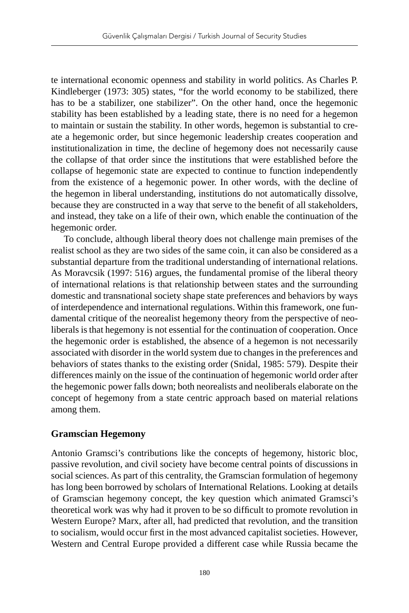te international economic openness and stability in world politics. As Charles P. Kindleberger (1973: 305) states, "for the world economy to be stabilized, there has to be a stabilizer, one stabilizer". On the other hand, once the hegemonic stability has been established by a leading state, there is no need for a hegemon to maintain or sustain the stability. In other words, hegemon is substantial to create a hegemonic order, but since hegemonic leadership creates cooperation and institutionalization in time, the decline of hegemony does not necessarily cause the collapse of that order since the institutions that were established before the collapse of hegemonic state are expected to continue to function independently from the existence of a hegemonic power. In other words, with the decline of the hegemon in liberal understanding, institutions do not automatically dissolve, because they are constructed in a way that serve to the benefit of all stakeholders, and instead, they take on a life of their own, which enable the continuation of the hegemonic order.

To conclude, although liberal theory does not challenge main premises of the realist school as they are two sides of the same coin, it can also be considered as a substantial departure from the traditional understanding of international relations. As Moravcsik (1997: 516) argues, the fundamental promise of the liberal theory of international relations is that relationship between states and the surrounding domestic and transnational society shape state preferences and behaviors by ways of interdependence and international regulations. Within this framework, one fundamental critique of the neorealist hegemony theory from the perspective of neoliberals is that hegemony is not essential for the continuation of cooperation. Once the hegemonic order is established, the absence of a hegemon is not necessarily associated with disorder in the world system due to changes in the preferences and behaviors of states thanks to the existing order (Snidal, 1985: 579). Despite their differences mainly on the issue of the continuation of hegemonic world order after the hegemonic power falls down; both neorealists and neoliberals elaborate on the concept of hegemony from a state centric approach based on material relations among them.

#### **Gramscian Hegemony**

Antonio Gramsci's contributions like the concepts of hegemony, historic bloc, passive revolution, and civil society have become central points of discussions in social sciences. As part of this centrality, the Gramscian formulation of hegemony has long been borrowed by scholars of International Relations. Looking at details of Gramscian hegemony concept, the key question which animated Gramsci's theoretical work was why had it proven to be so difficult to promote revolution in Western Europe? Marx, after all, had predicted that revolution, and the transition to socialism, would occur first in the most advanced capitalist societies. However, Western and Central Europe provided a different case while Russia became the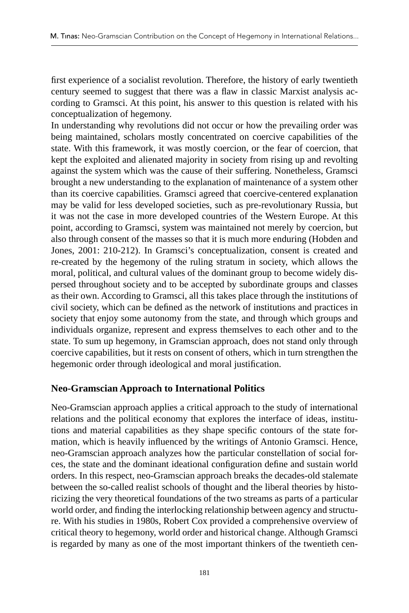first experience of a socialist revolution. Therefore, the history of early twentieth century seemed to suggest that there was a flaw in classic Marxist analysis according to Gramsci. At this point, his answer to this question is related with his conceptualization of hegemony.

In understanding why revolutions did not occur or how the prevailing order was being maintained, scholars mostly concentrated on coercive capabilities of the state. With this framework, it was mostly coercion, or the fear of coercion, that kept the exploited and alienated majority in society from rising up and revolting against the system which was the cause of their suffering. Nonetheless, Gramsci brought a new understanding to the explanation of maintenance of a system other than its coercive capabilities. Gramsci agreed that coercive-centered explanation may be valid for less developed societies, such as pre-revolutionary Russia, but it was not the case in more developed countries of the Western Europe. At this point, according to Gramsci, system was maintained not merely by coercion, but also through consent of the masses so that it is much more enduring (Hobden and Jones, 2001: 210-212). In Gramsci's conceptualization, consent is created and re-created by the hegemony of the ruling stratum in society, which allows the moral, political, and cultural values of the dominant group to become widely dispersed throughout society and to be accepted by subordinate groups and classes as their own. According to Gramsci, all this takes place through the institutions of civil society, which can be defined as the network of institutions and practices in society that enjoy some autonomy from the state, and through which groups and individuals organize, represent and express themselves to each other and to the state. To sum up hegemony, in Gramscian approach, does not stand only through coercive capabilities, but it rests on consent of others, which in turn strengthen the hegemonic order through ideological and moral justification.

## **Neo-Gramscian Approach to International Politics**

Neo-Gramscian approach applies a critical approach to the study of international relations and the political economy that explores the interface of ideas, institutions and material capabilities as they shape specific contours of the state formation, which is heavily influenced by the writings of Antonio Gramsci. Hence, neo-Gramscian approach analyzes how the particular constellation of social forces, the state and the dominant ideational configuration define and sustain world orders. In this respect, neo-Gramscian approach breaks the decades-old stalemate between the so-called realist schools of thought and the liberal theories by historicizing the very theoretical foundations of the two streams as parts of a particular world order, and finding the interlocking relationship between agency and structure. With his studies in 1980s, Robert Cox provided a comprehensive overview of critical theory to hegemony, world order and historical change. Although Gramsci is regarded by many as one of the most important thinkers of the twentieth cen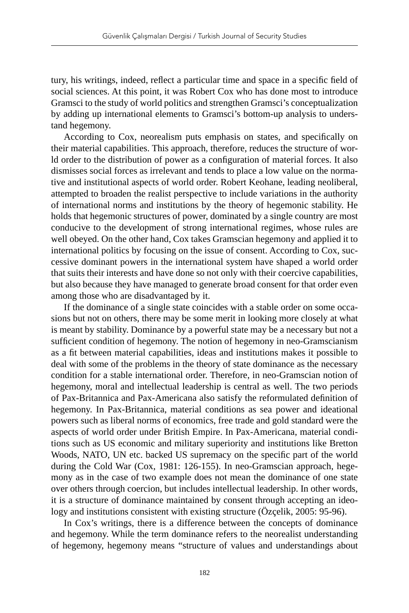tury, his writings, indeed, reflect a particular time and space in a specific field of social sciences. At this point, it was Robert Cox who has done most to introduce Gramsci to the study of world politics and strengthen Gramsci's conceptualization by adding up international elements to Gramsci's bottom-up analysis to understand hegemony.

According to Cox, neorealism puts emphasis on states, and specifically on their material capabilities. This approach, therefore, reduces the structure of world order to the distribution of power as a configuration of material forces. It also dismisses social forces as irrelevant and tends to place a low value on the normative and institutional aspects of world order. Robert Keohane, leading neoliberal, attempted to broaden the realist perspective to include variations in the authority of international norms and institutions by the theory of hegemonic stability. He holds that hegemonic structures of power, dominated by a single country are most conducive to the development of strong international regimes, whose rules are well obeyed. On the other hand, Cox takes Gramscian hegemony and applied it to international politics by focusing on the issue of consent. According to Cox, successive dominant powers in the international system have shaped a world order that suits their interests and have done so not only with their coercive capabilities, but also because they have managed to generate broad consent for that order even among those who are disadvantaged by it.

If the dominance of a single state coincides with a stable order on some occasions but not on others, there may be some merit in looking more closely at what is meant by stability. Dominance by a powerful state may be a necessary but not a sufficient condition of hegemony. The notion of hegemony in neo-Gramscianism as a fit between material capabilities, ideas and institutions makes it possible to deal with some of the problems in the theory of state dominance as the necessary condition for a stable international order. Therefore, in neo-Gramscian notion of hegemony, moral and intellectual leadership is central as well. The two periods of Pax-Britannica and Pax-Americana also satisfy the reformulated definition of hegemony. In Pax-Britannica, material conditions as sea power and ideational powers such as liberal norms of economics, free trade and gold standard were the aspects of world order under British Empire. In Pax-Americana, material conditions such as US economic and military superiority and institutions like Bretton Woods, NATO, UN etc. backed US supremacy on the specific part of the world during the Cold War (Cox, 1981: 126-155). In neo-Gramscian approach, hegemony as in the case of two example does not mean the dominance of one state over others through coercion, but includes intellectual leadership. In other words, it is a structure of dominance maintained by consent through accepting an ideology and institutions consistent with existing structure (Özçelik, 2005: 95-96).

In Cox's writings, there is a difference between the concepts of dominance and hegemony. While the term dominance refers to the neorealist understanding of hegemony, hegemony means "structure of values and understandings about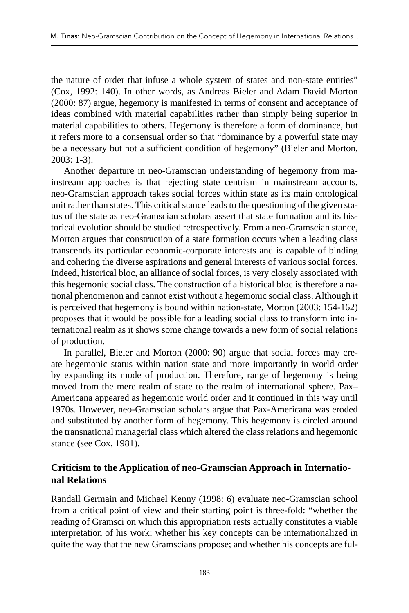the nature of order that infuse a whole system of states and non-state entities" (Cox, 1992: 140). In other words, as Andreas Bieler and Adam David Morton (2000: 87) argue, hegemony is manifested in terms of consent and acceptance of ideas combined with material capabilities rather than simply being superior in material capabilities to others. Hegemony is therefore a form of dominance, but it refers more to a consensual order so that "dominance by a powerful state may be a necessary but not a sufficient condition of hegemony" (Bieler and Morton, 2003: 1-3).

Another departure in neo-Gramscian understanding of hegemony from mainstream approaches is that rejecting state centrism in mainstream accounts, neo-Gramscian approach takes social forces within state as its main ontological unit rather than states. This critical stance leads to the questioning of the given status of the state as neo-Gramscian scholars assert that state formation and its historical evolution should be studied retrospectively. From a neo-Gramscian stance, Morton argues that construction of a state formation occurs when a leading class transcends its particular economic-corporate interests and is capable of binding and cohering the diverse aspirations and general interests of various social forces. Indeed, historical bloc, an alliance of social forces, is very closely associated with this hegemonic social class. The construction of a historical bloc is therefore a national phenomenon and cannot exist without a hegemonic social class. Although it is perceived that hegemony is bound within nation-state, Morton (2003: 154-162) proposes that it would be possible for a leading social class to transform into international realm as it shows some change towards a new form of social relations of production.

In parallel, Bieler and Morton (2000: 90) argue that social forces may create hegemonic status within nation state and more importantly in world order by expanding its mode of production. Therefore, range of hegemony is being moved from the mere realm of state to the realm of international sphere. Pax– Americana appeared as hegemonic world order and it continued in this way until 1970s. However, neo-Gramscian scholars argue that Pax-Americana was eroded and substituted by another form of hegemony. This hegemony is circled around the transnational managerial class which altered the class relations and hegemonic stance (see Cox, 1981).

## **Criticism to the Application of neo-Gramscian Approach in International Relations**

Randall Germain and Michael Kenny (1998: 6) evaluate neo-Gramscian school from a critical point of view and their starting point is three-fold: "whether the reading of Gramsci on which this appropriation rests actually constitutes a viable interpretation of his work; whether his key concepts can be internationalized in quite the way that the new Gramscians propose; and whether his concepts are ful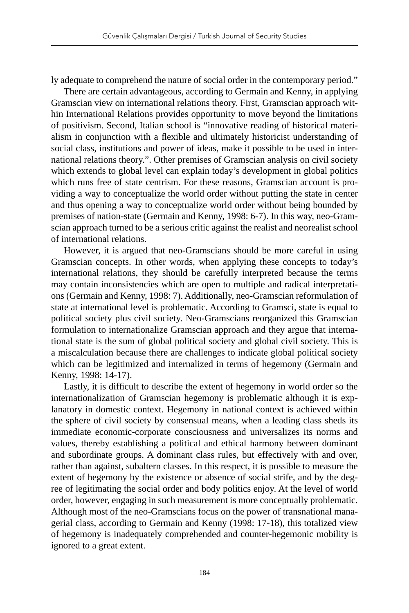ly adequate to comprehend the nature of social order in the contemporary period."

There are certain advantageous, according to Germain and Kenny, in applying Gramscian view on international relations theory. First, Gramscian approach within International Relations provides opportunity to move beyond the limitations of positivism. Second, Italian school is "innovative reading of historical materialism in conjunction with a flexible and ultimately historicist understanding of social class, institutions and power of ideas, make it possible to be used in international relations theory.". Other premises of Gramscian analysis on civil society which extends to global level can explain today's development in global politics which runs free of state centrism. For these reasons, Gramscian account is providing a way to conceptualize the world order without putting the state in center and thus opening a way to conceptualize world order without being bounded by premises of nation-state (Germain and Kenny, 1998: 6-7). In this way, neo-Gramscian approach turned to be a serious critic against the realist and neorealist school of international relations.

However, it is argued that neo-Gramscians should be more careful in using Gramscian concepts. In other words, when applying these concepts to today's international relations, they should be carefully interpreted because the terms may contain inconsistencies which are open to multiple and radical interpretations (Germain and Kenny, 1998: 7). Additionally, neo-Gramscian reformulation of state at international level is problematic. According to Gramsci, state is equal to political society plus civil society. Neo-Gramscians reorganized this Gramscian formulation to internationalize Gramscian approach and they argue that international state is the sum of global political society and global civil society. This is a miscalculation because there are challenges to indicate global political society which can be legitimized and internalized in terms of hegemony (Germain and Kenny, 1998: 14-17).

Lastly, it is difficult to describe the extent of hegemony in world order so the internationalization of Gramscian hegemony is problematic although it is explanatory in domestic context. Hegemony in national context is achieved within the sphere of civil society by consensual means, when a leading class sheds its immediate economic-corporate consciousness and universalizes its norms and values, thereby establishing a political and ethical harmony between dominant and subordinate groups. A dominant class rules, but effectively with and over, rather than against, subaltern classes. In this respect, it is possible to measure the extent of hegemony by the existence or absence of social strife, and by the degree of legitimating the social order and body politics enjoy. At the level of world order, however, engaging in such measurement is more conceptually problematic. Although most of the neo-Gramscians focus on the power of transnational managerial class, according to Germain and Kenny (1998: 17-18), this totalized view of hegemony is inadequately comprehended and counter-hegemonic mobility is ignored to a great extent.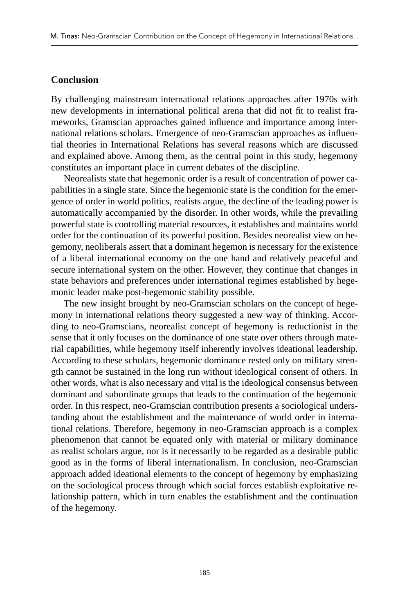#### **Conclusion**

By challenging mainstream international relations approaches after 1970s with new developments in international political arena that did not fit to realist frameworks, Gramscian approaches gained influence and importance among international relations scholars. Emergence of neo-Gramscian approaches as influential theories in International Relations has several reasons which are discussed and explained above. Among them, as the central point in this study, hegemony constitutes an important place in current debates of the discipline.

Neorealists state that hegemonic order is a result of concentration of power capabilities in a single state. Since the hegemonic state is the condition for the emergence of order in world politics, realists argue, the decline of the leading power is automatically accompanied by the disorder. In other words, while the prevailing powerful state is controlling material resources, it establishes and maintains world order for the continuation of its powerful position. Besides neorealist view on hegemony, neoliberals assert that a dominant hegemon is necessary for the existence of a liberal international economy on the one hand and relatively peaceful and secure international system on the other. However, they continue that changes in state behaviors and preferences under international regimes established by hegemonic leader make post-hegemonic stability possible.

The new insight brought by neo-Gramscian scholars on the concept of hegemony in international relations theory suggested a new way of thinking. According to neo-Gramscians, neorealist concept of hegemony is reductionist in the sense that it only focuses on the dominance of one state over others through material capabilities, while hegemony itself inherently involves ideational leadership. According to these scholars, hegemonic dominance rested only on military strength cannot be sustained in the long run without ideological consent of others. In other words, what is also necessary and vital is the ideological consensus between dominant and subordinate groups that leads to the continuation of the hegemonic order. In this respect, neo-Gramscian contribution presents a sociological understanding about the establishment and the maintenance of world order in international relations. Therefore, hegemony in neo-Gramscian approach is a complex phenomenon that cannot be equated only with material or military dominance as realist scholars argue, nor is it necessarily to be regarded as a desirable public good as in the forms of liberal internationalism. In conclusion, neo-Gramscian approach added ideational elements to the concept of hegemony by emphasizing on the sociological process through which social forces establish exploitative relationship pattern, which in turn enables the establishment and the continuation of the hegemony.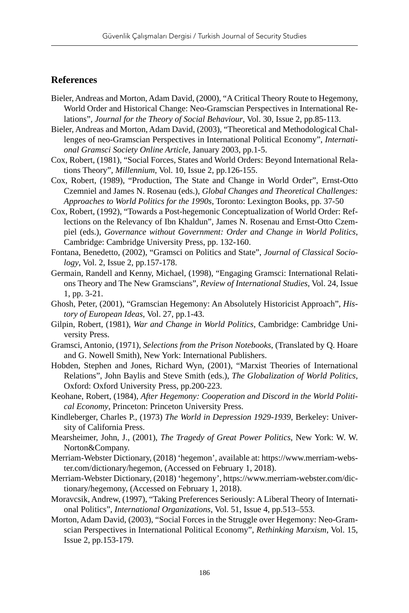### **References**

- Bieler, Andreas and Morton, Adam David, (2000), "A Critical Theory Route to Hegemony, World Order and Historical Change: Neo-Gramscian Perspectives in International Relations", *Journal for the Theory of Social Behaviour*, Vol. 30, Issue 2, pp.85-113.
- Bieler, Andreas and Morton, Adam David, (2003), "Theoretical and Methodological Challenges of neo-Gramscian Perspectives in International Political Economy", *International Gramsci Society Online Article*, January 2003, pp.1-5.
- Cox, Robert, (1981), "Social Forces, States and World Orders: Beyond International Relations Theory", *Millennium*, Vol. 10, Issue 2, pp.126-155.
- Cox, Robert, (1989), "Production, The State and Change in World Order", Ernst-Otto Czemniel and James N. Rosenau (eds.), *Global Changes and Theoretical Challenges: Approaches to World Politics for the 1990s*, Toronto: Lexington Books, pp. 37-50
- Cox, Robert, (1992), "Towards a Post-hegemonic Conceptualization of World Order: Reflections on the Relevancy of Ibn Khaldun", James N. Rosenau and Ernst-Otto Czempiel (eds.), *Governance without Government: Order and Change in World Politics*, Cambridge: Cambridge University Press, pp. 132-160.
- Fontana, Benedetto, (2002), "Gramsci on Politics and State", *Journal of Classical Sociology*, Vol. 2, Issue 2, pp.157-178.
- Germain, Randell and Kenny, Michael, (1998), "Engaging Gramsci: International Relations Theory and The New Gramscians", *Review of International Studies*, Vol. 24, Issue 1, pp. 3-21.
- Ghosh, Peter, (2001), "Gramscian Hegemony: An Absolutely Historicist Approach", *History of European Ideas*, Vol. 27, pp.1-43.
- Gilpin, Robert, (1981), *War and Change in World Politics*, Cambridge: Cambridge University Press.
- Gramsci, Antonio, (1971), *Selections from the Prison Notebooks*, (Translated by Q. Hoare and G. Nowell Smith), New York: International Publishers.
- Hobden, Stephen and Jones, Richard Wyn, (2001), "Marxist Theories of International Relations", John Baylis and Steve Smith (eds.), *The Globalization of World Politics*, Oxford: Oxford University Press, pp.200-223.
- Keohane, Robert, (1984), *After Hegemony: Cooperation and Discord in the World Political Economy*, Princeton: Princeton University Press.
- Kindleberger, Charles P., (1973) *The World in Depression 1929-1939*, Berkeley: University of California Press.
- Mearsheimer, John, J., (2001), *The Tragedy of Great Power Politics*, New York: W. W. Norton&Company.
- Merriam-Webster Dictionary, (2018) 'hegemon', available at: https://www.merriam-webster.com/dictionary/hegemon, (Accessed on February 1, 2018).
- Merriam-Webster Dictionary, (2018) 'hegemony', https://www.merriam-webster.com/dictionary/hegemony, (Accessed on February 1, 2018).
- Moravcsik, Andrew, (1997), "Taking Preferences Seriously: A Liberal Theory of International Politics", *International Organizations*, Vol. 51, Issue 4, pp.513–553.
- Morton, Adam David, (2003), "Social Forces in the Struggle over Hegemony: Neo-Gramscian Perspectives in International Political Economy", *Rethinking Marxism*, Vol. 15, Issue 2, pp.153-179.